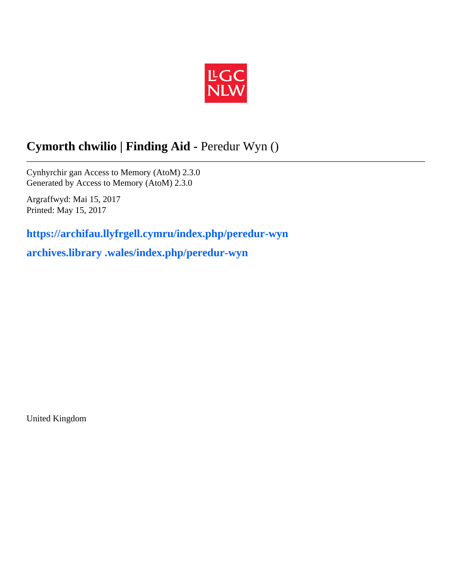

# **Cymorth chwilio | Finding Aid -** Peredur Wyn ()

Cynhyrchir gan Access to Memory (AtoM) 2.3.0 Generated by Access to Memory (AtoM) 2.3.0

Argraffwyd: Mai 15, 2017 Printed: May 15, 2017

**https://archifau.llyfrgell.cymru/index.php/peredur-wyn**

**archives.library .wales/index.php/peredur-wyn**

United Kingdom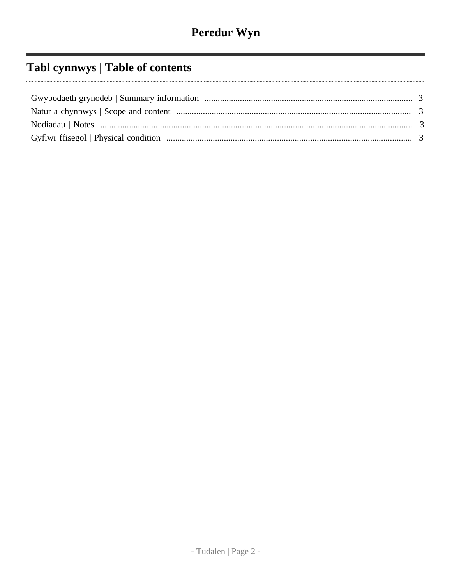# Tabl cynnwys | Table of contents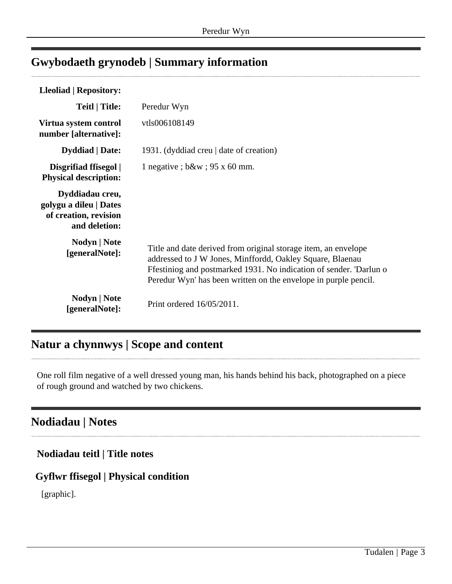## <span id="page-2-0"></span>**Gwybodaeth grynodeb | Summary information**

| <b>Lleoliad   Repository:</b>                                                       |                                                                                                                                                                                                                                                                      |
|-------------------------------------------------------------------------------------|----------------------------------------------------------------------------------------------------------------------------------------------------------------------------------------------------------------------------------------------------------------------|
| Teitl   Title:                                                                      | Peredur Wyn                                                                                                                                                                                                                                                          |
| Virtua system control<br>number [alternative]:                                      | vtls006108149                                                                                                                                                                                                                                                        |
| <b>Dyddiad</b>   Date:                                                              | 1931. (dyddiad creu   date of creation)                                                                                                                                                                                                                              |
| Disgrifiad ffisegol  <br><b>Physical description:</b>                               | 1 negative ; $b\&w$ ; 95 x 60 mm.                                                                                                                                                                                                                                    |
| Dyddiadau creu,<br>golygu a dileu   Dates<br>of creation, revision<br>and deletion: |                                                                                                                                                                                                                                                                      |
| Nodyn   Note<br>[generalNote]:                                                      | Title and date derived from original storage item, an envelope<br>addressed to J W Jones, Minffordd, Oakley Square, Blaenau<br>Ffestiniog and postmarked 1931. No indication of sender. 'Darlun o<br>Peredur Wyn' has been written on the envelope in purple pencil. |
| Nodyn   Note<br>[generalNote]:                                                      | Print ordered 16/05/2011.                                                                                                                                                                                                                                            |

## <span id="page-2-1"></span>**Natur a chynnwys | Scope and content**

One roll film negative of a well dressed young man, his hands behind his back, photographed on a piece of rough ground and watched by two chickens.

## <span id="page-2-2"></span>**Nodiadau | Notes**

**Nodiadau teitl | Title notes**

### <span id="page-2-3"></span>**Gyflwr ffisegol | Physical condition**

[graphic].